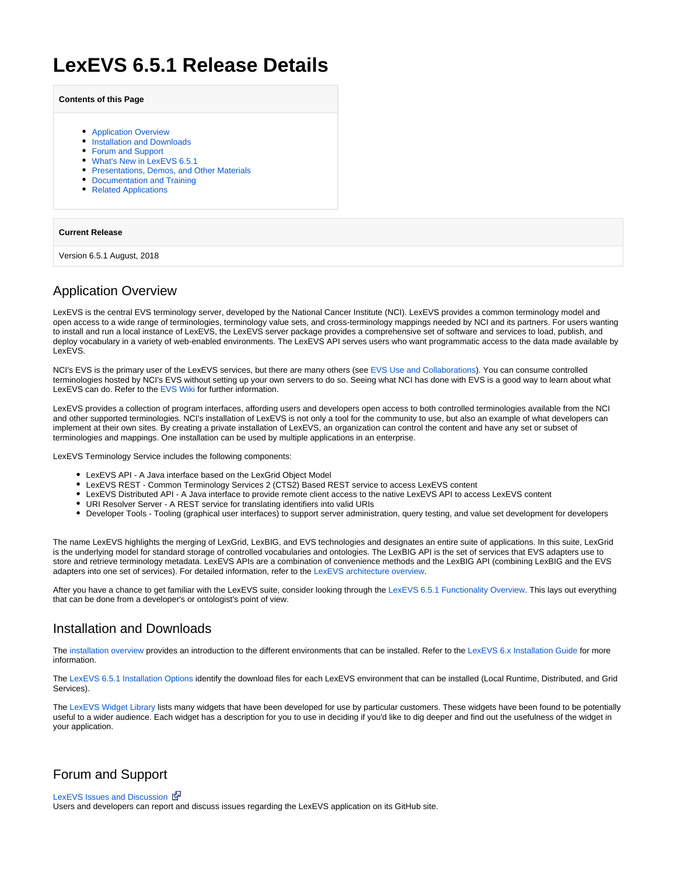# **LexEVS 6.5.1 Release Details**

#### **Contents of this Page**

- **[Application Overview](#page-0-0)**
- **[Installation and Downloads](#page-0-1)**
- [Forum and Support](#page-0-2)
- [What's New in LexEVS 6.5.1](#page-0-3)
- **[Presentations, Demos, and Other Materials](#page-1-0)**
- [Documentation and Training](#page-1-1)
- [Related Applications](#page-1-2)

#### **Current Release**

Version 6.5.1 August, 2018

### <span id="page-0-0"></span>Application Overview

LexEVS is the central EVS terminology server, developed by the National Cancer Institute (NCI). LexEVS provides a common terminology model and open access to a wide range of terminologies, terminology value sets, and cross-terminology mappings needed by NCI and its partners. For users wanting to install and run a local instance of LexEVS, the LexEVS server package provides a comprehensive set of software and services to load, publish, and deploy vocabulary in a variety of web-enabled environments. The LexEVS API serves users who want programmatic access to the data made available by LexEVS.

NCI's EVS is the primary user of the LexEVS services, but there are many others (see [EVS Use and Collaborations](https://wiki.nci.nih.gov/x/dYf_Ag)). You can consume controlled terminologies hosted by NCI's EVS without setting up your own servers to do so. Seeing what NCI has done with EVS is a good way to learn about what LexEVS can do. Refer to the [EVS Wiki](https://wiki.nci.nih.gov/display/EVS/EVS+Wiki) for further information.

LexEVS provides a collection of program interfaces, affording users and developers open access to both controlled terminologies available from the NCI and other supported terminologies. NCI's installation of LexEVS is not only a tool for the community to use, but also an example of what developers can implement at their own sites. By creating a private installation of LexEVS, an organization can control the content and have any set or subset of terminologies and mappings. One installation can be used by multiple applications in an enterprise.

LexEVS Terminology Service includes the following components:

- LexEVS API A Java interface based on the LexGrid Object Model
- LexEVS REST Common Terminology Services 2 (CTS2) Based REST service to access LexEVS content
- LexEVS Distributed API A Java interface to provide remote client access to the native LexEVS API to access LexEVS content
- URI Resolver Server A REST service for translating identifiers into valid URIs
- Developer Tools Tooling (graphical user interfaces) to support server administration, query testing, and value set development for developers

The name LexEVS highlights the merging of LexGrid, LexBIG, and EVS technologies and designates an entire suite of applications. In this suite, LexGrid is the underlying model for standard storage of controlled vocabularies and ontologies. The LexBIG API is the set of services that EVS adapters use to store and retrieve terminology metadata. LexEVS APIs are a combination of convenience methods and the LexBIG API (combining LexBIG and the EVS adapters into one set of services). For detailed information, refer to the [LexEVS architecture overview](https://wiki.nci.nih.gov/display/LexEVS/LexEVS+6.x+Architecture).

After you have a chance to get familiar with the LexEVS suite, consider looking through the [LexEVS 6.5.1 Functionality Overview.](https://wiki.nci.nih.gov/display/LexEVS/LexEVS+6.5.1+Functionality+Overview) This lays out everything that can be done from a developer's or ontologist's point of view.

# <span id="page-0-1"></span>Installation and Downloads

The [installation overview](https://wiki.nci.nih.gov/display/LexEVS/1+-+LexEVS+6.x+Installation+Overview) provides an introduction to the different environments that can be installed. Refer to the [LexEVS 6.x Installation Guide](https://wiki.nci.nih.gov/display/LexEVS/LexEVS+6.x+Installation+Guide) for more information.

The [LexEVS 6.5.1 Installation Options](https://wiki.nci.nih.gov/display/LexEVS/LexEVS+6.5.1+Installation+Options) identify the download files for each LexEVS environment that can be installed (Local Runtime, Distributed, and Grid Services).

The [LexEVS Widget Library](https://wiki.nci.nih.gov/display/LexEVS/LexEVS+Widget+Library) lists many widgets that have been developed for use by particular customers. These widgets have been found to be potentially useful to a wider audience. Each widget has a description for you to use in deciding if you'd like to dig deeper and find out the usefulness of the widget in your application.

# <span id="page-0-2"></span>Forum and Support

#### [LexEVS Issues and Discussion](https://github.com/lexevs/lexevs/issues) &

<span id="page-0-3"></span>Users and developers can report and discuss issues regarding the LexEVS application on its GitHub site.